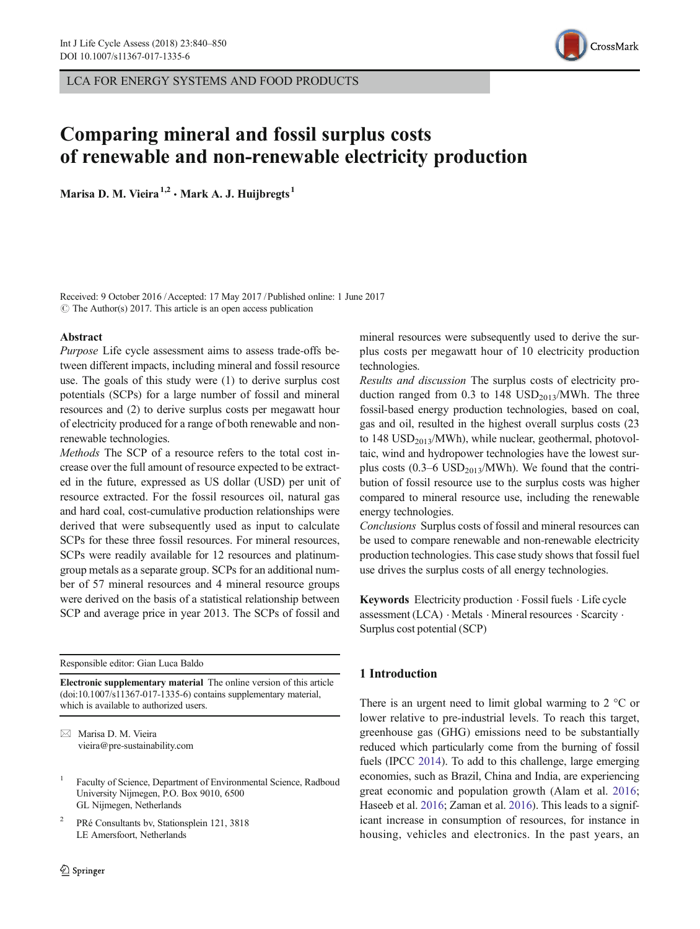LCA FOR ENERGY SYSTEMS AND FOOD PRODUCTS



# Comparing mineral and fossil surplus costs of renewable and non-renewable electricity production

Marisa D. M. Vieira<sup>1,2</sup> · Mark A. J. Huijbregts<sup>1</sup>

Received: 9 October 2016 /Accepted: 17 May 2017 /Published online: 1 June 2017  $\circ$  The Author(s) 2017. This article is an open access publication

## Abstract

Purpose Life cycle assessment aims to assess trade-offs between different impacts, including mineral and fossil resource use. The goals of this study were (1) to derive surplus cost potentials (SCPs) for a large number of fossil and mineral resources and (2) to derive surplus costs per megawatt hour of electricity produced for a range of both renewable and nonrenewable technologies.

Methods The SCP of a resource refers to the total cost increase over the full amount of resource expected to be extracted in the future, expressed as US dollar (USD) per unit of resource extracted. For the fossil resources oil, natural gas and hard coal, cost-cumulative production relationships were derived that were subsequently used as input to calculate SCPs for these three fossil resources. For mineral resources, SCPs were readily available for 12 resources and platinumgroup metals as a separate group. SCPs for an additional number of 57 mineral resources and 4 mineral resource groups were derived on the basis of a statistical relationship between SCP and average price in year 2013. The SCPs of fossil and

Responsible editor: Gian Luca Baldo

Electronic supplementary material The online version of this article (doi[:10.1007/s11367-017-1335-6\)](http://dx.doi.org/10.1007/s11367-017-1335-6) contains supplementary material, which is available to authorized users.

 $\boxtimes$  Marisa D. M. Vieira [vieira@pre-sustainability.com](mailto:vieira@pre-ustainability.com)

- <sup>1</sup> Faculty of Science, Department of Environmental Science, Radboud University Nijmegen, P.O. Box 9010, 6500 GL Nijmegen, Netherlands
- <sup>2</sup> PRé Consultants bv, Stationsplein 121, 3818 LE Amersfoort, Netherlands

mineral resources were subsequently used to derive the surplus costs per megawatt hour of 10 electricity production technologies.

Results and discussion The surplus costs of electricity production ranged from 0.3 to 148  $\text{USD}_{2013}/\text{MWh}$ . The three fossil-based energy production technologies, based on coal, gas and oil, resulted in the highest overall surplus costs (23 to  $148$  USD<sub>2013</sub>/MWh), while nuclear, geothermal, photovoltaic, wind and hydropower technologies have the lowest surplus costs  $(0.3-6 \text{ USD}_{2013}/\text{MWh})$ . We found that the contribution of fossil resource use to the surplus costs was higher compared to mineral resource use, including the renewable energy technologies.

Conclusions Surplus costs of fossil and mineral resources can be used to compare renewable and non-renewable electricity production technologies. This case study shows that fossil fuel use drives the surplus costs of all energy technologies.

Keywords Electricity production . Fossil fuels . Life cycle assessment (LCA) . Metals . Mineral resources . Scarcity . Surplus cost potential (SCP)

## 1 Introduction

There is an urgent need to limit global warming to  $2 \degree C$  or lower relative to pre-industrial levels. To reach this target, greenhouse gas (GHG) emissions need to be substantially reduced which particularly come from the burning of fossil fuels (IPCC [2014\)](#page-9-0). To add to this challenge, large emerging economies, such as Brazil, China and India, are experiencing great economic and population growth (Alam et al. [2016;](#page-9-0) Haseeb et al. [2016;](#page-9-0) Zaman et al. [2016\)](#page-10-0). This leads to a significant increase in consumption of resources, for instance in housing, vehicles and electronics. In the past years, an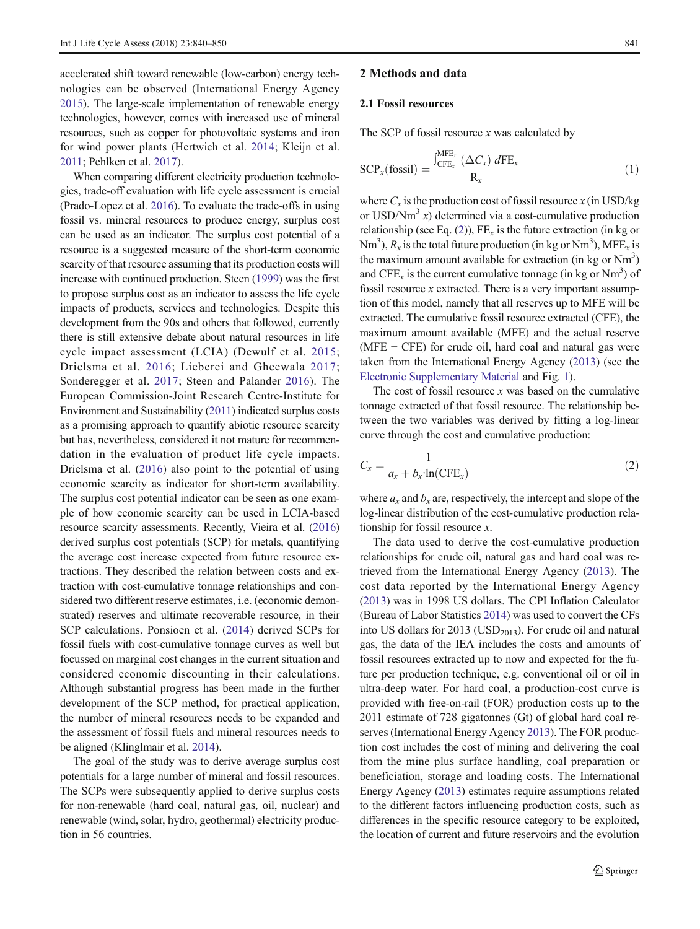accelerated shift toward renewable (low-carbon) energy technologies can be observed (International Energy Agency [2015\)](#page-9-0). The large-scale implementation of renewable energy technologies, however, comes with increased use of mineral resources, such as copper for photovoltaic systems and iron for wind power plants (Hertwich et al. [2014;](#page-9-0) Kleijn et al. [2011](#page-10-0); Pehlken et al. [2017\)](#page-10-0).

When comparing different electricity production technologies, trade-off evaluation with life cycle assessment is crucial (Prado-Lopez et al. [2016\)](#page-10-0). To evaluate the trade-offs in using fossil vs. mineral resources to produce energy, surplus cost can be used as an indicator. The surplus cost potential of a resource is a suggested measure of the short-term economic scarcity of that resource assuming that its production costs will increase with continued production. Steen ([1999](#page-10-0)) was the first to propose surplus cost as an indicator to assess the life cycle impacts of products, services and technologies. Despite this development from the 90s and others that followed, currently there is still extensive debate about natural resources in life cycle impact assessment (LCIA) (Dewulf et al. [2015](#page-9-0); Drielsma et al. [2016](#page-9-0); Lieberei and Gheewala [2017](#page-10-0); Sonderegger et al. [2017;](#page-10-0) Steen and Palander [2016\)](#page-10-0). The European Commission-Joint Research Centre-Institute for Environment and Sustainability [\(2011](#page-9-0)) indicated surplus costs as a promising approach to quantify abiotic resource scarcity but has, nevertheless, considered it not mature for recommendation in the evaluation of product life cycle impacts. Drielsma et al. ([2016\)](#page-9-0) also point to the potential of using economic scarcity as indicator for short-term availability. The surplus cost potential indicator can be seen as one example of how economic scarcity can be used in LCIA-based resource scarcity assessments. Recently, Vieira et al. [\(2016\)](#page-10-0) derived surplus cost potentials (SCP) for metals, quantifying the average cost increase expected from future resource extractions. They described the relation between costs and extraction with cost-cumulative tonnage relationships and considered two different reserve estimates, i.e. (economic demonstrated) reserves and ultimate recoverable resource, in their SCP calculations. Ponsioen et al. ([2014](#page-10-0)) derived SCPs for fossil fuels with cost-cumulative tonnage curves as well but focussed on marginal cost changes in the current situation and considered economic discounting in their calculations. Although substantial progress has been made in the further development of the SCP method, for practical application, the number of mineral resources needs to be expanded and the assessment of fossil fuels and mineral resources needs to be aligned (Klinglmair et al. [2014](#page-10-0)).

The goal of the study was to derive average surplus cost potentials for a large number of mineral and fossil resources. The SCPs were subsequently applied to derive surplus costs for non-renewable (hard coal, natural gas, oil, nuclear) and renewable (wind, solar, hydro, geothermal) electricity production in 56 countries.

#### 2 Methods and data

#### 2.1 Fossil resources

The SCP of fossil resource  $x$  was calculated by

 $\sim$ 

$$
SCPx(fossil) = \frac{\int_{CFEx}^{MFE_x} (\Delta C_x) dFE_x}{R_x}
$$
 (1)

where  $C_x$  is the production cost of fossil resource x (in USD/kg) or USD/ $Nm^3$  x) determined via a cost-cumulative production relationship (see Eq. (2)),  $FE_x$  is the future extraction (in kg or Nm<sup>3</sup>),  $R_x$  is the total future production (in kg or Nm<sup>3</sup>), MFE<sub>x</sub> is the maximum amount available for extraction (in kg or  $Nm^3$ ) and CFE<sub>x</sub> is the current cumulative tonnage (in kg or Nm<sup>3</sup>) of fossil resource  $x$  extracted. There is a very important assumption of this model, namely that all reserves up to MFE will be extracted. The cumulative fossil resource extracted (CFE), the maximum amount available (MFE) and the actual reserve  $(MFE - CFE)$  for crude oil, hard coal and natural gas were taken from the International Energy Agency ([2013](#page-9-0)) (see the Electronic Supplementary Material and Fig. [1](#page-2-0)).

The cost of fossil resource  $x$  was based on the cumulative tonnage extracted of that fossil resource. The relationship between the two variables was derived by fitting a log-linear curve through the cost and cumulative production:

$$
C_x = \frac{1}{a_x + b_x \cdot \ln(\text{CFE}_x)}\tag{2}
$$

where  $a_x$  and  $b_x$  are, respectively, the intercept and slope of the log-linear distribution of the cost-cumulative production relationship for fossil resource  $x$ .

The data used to derive the cost-cumulative production relationships for crude oil, natural gas and hard coal was retrieved from the International Energy Agency ([2013](#page-9-0)). The cost data reported by the International Energy Agency [\(2013\)](#page-9-0) was in 1998 US dollars. The CPI Inflation Calculator (Bureau of Labor Statistics [2014](#page-9-0)) was used to convert the CFs into US dollars for 2013 (USD<sub>2013</sub>). For crude oil and natural gas, the data of the IEA includes the costs and amounts of fossil resources extracted up to now and expected for the future per production technique, e.g. conventional oil or oil in ultra-deep water. For hard coal, a production-cost curve is provided with free-on-rail (FOR) production costs up to the 2011 estimate of 728 gigatonnes (Gt) of global hard coal reserves (International Energy Agency [2013](#page-9-0)). The FOR production cost includes the cost of mining and delivering the coal from the mine plus surface handling, coal preparation or beneficiation, storage and loading costs. The International Energy Agency [\(2013\)](#page-9-0) estimates require assumptions related to the different factors influencing production costs, such as differences in the specific resource category to be exploited, the location of current and future reservoirs and the evolution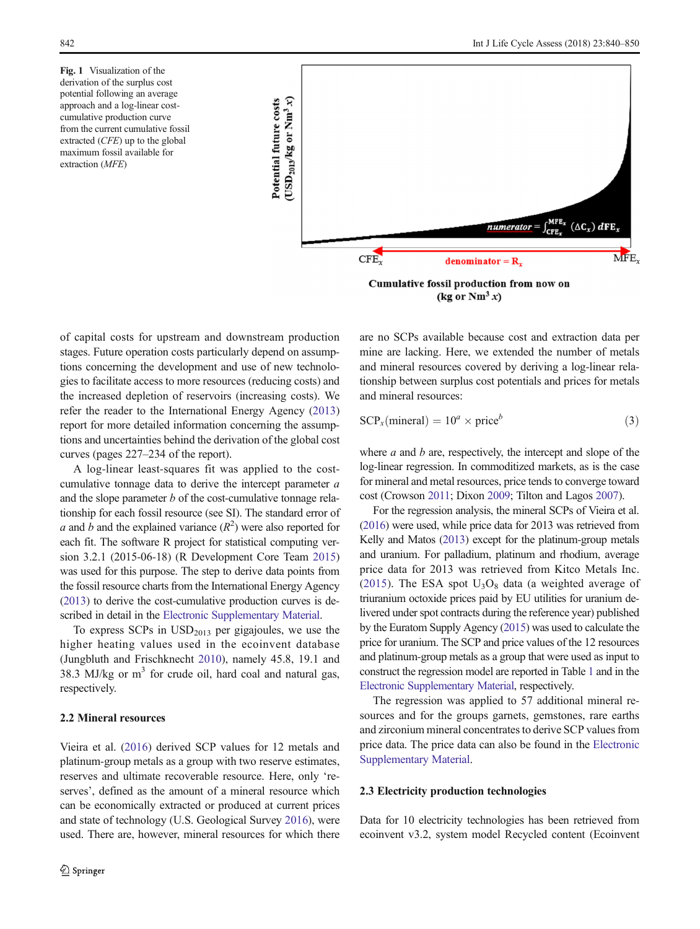<span id="page-2-0"></span>Fig. 1 Visualization of the derivation of the surplus cost potential following an average approach and a log-linear costcumulative production curve from the current cumulative fossil extracted (CFE) up to the global maximum fossil available for extraction (MFE)



(kg or  $Nm^3 x$ )

of capital costs for upstream and downstream production stages. Future operation costs particularly depend on assumptions concerning the development and use of new technologies to facilitate access to more resources (reducing costs) and the increased depletion of reservoirs (increasing costs). We refer the reader to the International Energy Agency [\(2013\)](#page-9-0) report for more detailed information concerning the assumptions and uncertainties behind the derivation of the global cost curves (pages 227–234 of the report).

A log-linear least-squares fit was applied to the costcumulative tonnage data to derive the intercept parameter a and the slope parameter  $b$  of the cost-cumulative tonnage relationship for each fossil resource (see SI). The standard error of a and b and the explained variance  $(R^2)$  were also reported for each fit. The software R project for statistical computing version 3.2.1 (2015-06-18) (R Development Core Team [2015\)](#page-10-0) was used for this purpose. The step to derive data points from the fossil resource charts from the International Energy Agency [\(2013](#page-9-0)) to derive the cost-cumulative production curves is described in detail in the Electronic Supplementary Material.

To express  $SCPs$  in  $USD<sub>2013</sub>$  per gigajoules, we use the higher heating values used in the ecoinvent database (Jungbluth and Frischknecht [2010\)](#page-9-0), namely 45.8, 19.1 and 38.3 MJ/kg or  $m<sup>3</sup>$  for crude oil, hard coal and natural gas, respectively.

## 2.2 Mineral resources

Vieira et al. [\(2016\)](#page-10-0) derived SCP values for 12 metals and platinum-group metals as a group with two reserve estimates, reserves and ultimate recoverable resource. Here, only 'reserves', defined as the amount of a mineral resource which can be economically extracted or produced at current prices and state of technology (U.S. Geological Survey [2016](#page-10-0)), were used. There are, however, mineral resources for which there are no SCPs available because cost and extraction data per mine are lacking. Here, we extended the number of metals and mineral resources covered by deriving a log-linear relationship between surplus cost potentials and prices for metals and mineral resources:

$$
SCPx(mineral) = 10a \times priceb
$$
 (3)

where  $a$  and  $b$  are, respectively, the intercept and slope of the log-linear regression. In commoditized markets, as is the case for mineral and metal resources, price tends to converge toward cost (Crowson [2011](#page-9-0); Dixon [2009](#page-9-0); Tilton and Lagos [2007](#page-10-0)).

For the regression analysis, the mineral SCPs of Vieira et al. [\(2016](#page-10-0)) were used, while price data for 2013 was retrieved from Kelly and Matos [\(2013\)](#page-9-0) except for the platinum-group metals and uranium. For palladium, platinum and rhodium, average price data for 2013 was retrieved from Kitco Metals Inc. [\(2015\)](#page-10-0). The ESA spot  $U_3O_8$  data (a weighted average of triuranium octoxide prices paid by EU utilities for uranium delivered under spot contracts during the reference year) published by the Euratom Supply Agency ([2015\)](#page-9-0) was used to calculate the price for uranium. The SCP and price values of the 12 resources and platinum-group metals as a group that were used as input to construct the regression model are reported in Table [1](#page-3-0) and in the Electronic Supplementary Material, respectively.

The regression was applied to 57 additional mineral resources and for the groups garnets, gemstones, rare earths and zirconium mineral concentrates to derive SCP values from price data. The price data can also be found in the Electronic Supplementary Material.

## 2.3 Electricity production technologies

Data for 10 electricity technologies has been retrieved from ecoinvent v3.2, system model Recycled content (Ecoinvent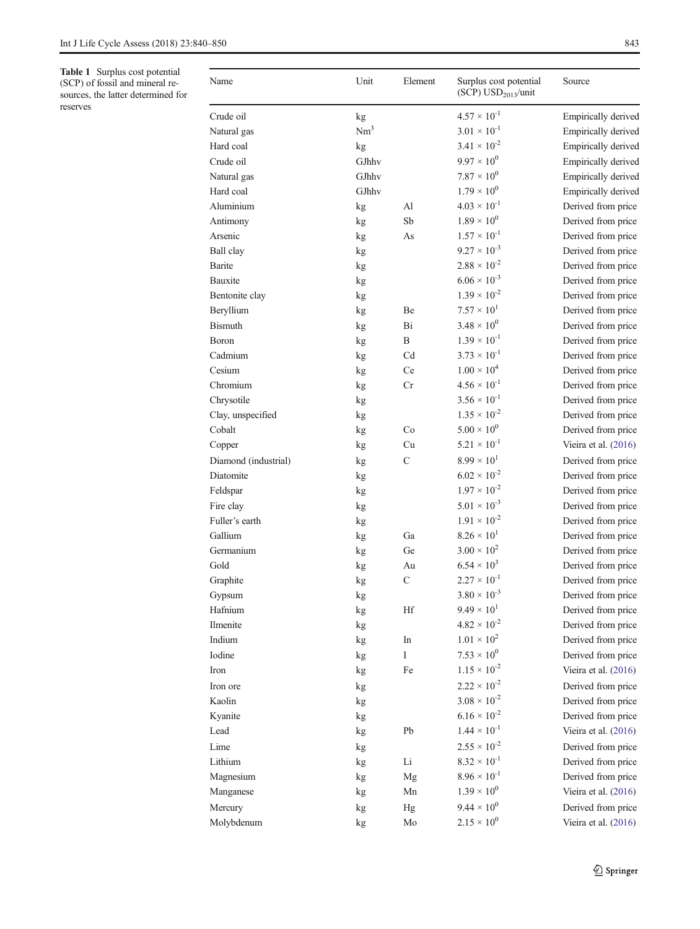<span id="page-3-0"></span>Table 1 Surplus cost potential (SCP) of fossil and mineral resources, the latter determined for reserves

| Name                 | Unit            | Element       | Surplus cost potential<br>$(SCP)$ USD <sub>2013</sub> /unit | Source               |
|----------------------|-----------------|---------------|-------------------------------------------------------------|----------------------|
| Crude oil            | kg              |               | $4.57 \times 10^{-1}$                                       | Empirically derived  |
| Natural gas          | Nm <sup>3</sup> |               | $3.01 \times 10^{-1}$                                       | Empirically derived  |
| Hard coal            | kg              |               | $3.41 \times 10^{-2}$                                       | Empirically derived  |
| Crude oil            | GJhhv           |               | $9.97 \times 10^{0}$                                        | Empirically derived  |
| Natural gas          | GJhhv           |               | $7.87 \times 10^{0}$                                        | Empirically derived  |
| Hard coal            | GJhhv           |               | $1.79 \times 10^{0}$                                        | Empirically derived  |
| Aluminium            | kg              | Al            | $4.03 \times 10^{-1}$                                       | Derived from price   |
| Antimony             | kg              | Sb            | $1.89 \times 10^{0}$                                        | Derived from price   |
| Arsenic              | kg              | As            | $1.57 \times 10^{-1}$                                       | Derived from price   |
| Ball clay            | kg              |               | $9.27 \times 10^{-3}$                                       | Derived from price   |
| <b>Barite</b>        | kg              |               | $2.88 \times 10^{-2}$                                       | Derived from price   |
| Bauxite              | kg              |               | $6.06 \times 10^{-3}$                                       | Derived from price   |
| Bentonite clay       | kg              |               | $1.39 \times 10^{-2}$                                       | Derived from price   |
| Beryllium            | kg              | Be            | $7.57 \times 10^{1}$                                        | Derived from price   |
| <b>Bismuth</b>       | kg              | Bi            | $3.48 \times 10^{0}$                                        | Derived from price   |
| <b>Boron</b>         | kg              | B             | $1.39 \times 10^{-1}$                                       | Derived from price   |
| Cadmium              | kg              | Cd            | $3.73 \times 10^{-1}$                                       | Derived from price   |
| Cesium               | kg              | Ce            | $1.00 \times 10^4$                                          | Derived from price   |
| Chromium             | kg              | Cr            | $4.56 \times 10^{-1}$                                       | Derived from price   |
| Chrysotile           | kg              |               | $3.56 \times 10^{-1}$                                       | Derived from price   |
| Clay, unspecified    | kg              |               | $1.35 \times 10^{-2}$                                       | Derived from price   |
| Cobalt               |                 | Co            | $5.00\times10^{0}$                                          | Derived from price   |
| Copper               | kg              | Cu            | $5.21 \times 10^{-1}$                                       | Vieira et al. (2016) |
|                      | kg              |               | $8.99 \times 10^{1}$                                        |                      |
| Diamond (industrial) | kg              | $\mathcal{C}$ | $6.02 \times 10^{-2}$                                       | Derived from price   |
| Diatomite            | kg              |               | $1.97 \times 10^{-2}$                                       | Derived from price   |
| Feldspar             | kg              |               |                                                             | Derived from price   |
| Fire clay            | kg              |               | $5.01 \times 10^{-3}$                                       | Derived from price   |
| Fuller's earth       | kg              |               | $1.91 \times 10^{-2}$                                       | Derived from price   |
| Gallium              | kg              | Ga            | $8.26 \times 10^{1}$                                        | Derived from price   |
| Germanium            | kg              | Ge            | $3.00 \times 10^{2}$                                        | Derived from price   |
| Gold                 | kg              | Au            | $6.54 \times 10^{3}$                                        | Derived from price   |
| Graphite             | kg              | $\mathbf C$   | $2.27 \times 10^{-1}$                                       | Derived from price   |
| Gypsum               | kg              |               | $3.80 \times 10^{-3}$                                       | Derived from price   |
| Hafnium              | kg              | Hf            | $9.49 \times 10^{1}$                                        | Derived from price   |
| Ilmenite             | kg              |               | $4.82 \times 10^{-2}$                                       | Derived from price   |
| Indium               | kg              | In            | $1.01 \times 10^{2}$                                        | Derived from price   |
| Iodine               | kg              | $\rm I$       | $7.53 \times 10^{0}$                                        | Derived from price   |
| Iron                 | kg              | Fe            | $1.15 \times 10^{-2}$                                       | Vieira et al. (2016) |
| Iron ore             | kg              |               | $2.22 \times 10^{-2}$                                       | Derived from price   |
| Kaolin               | kg              |               | $3.08\times10^{\text{-}2}$                                  | Derived from price   |
| Kyanite              | kg              |               | $6.16 \times 10^{-2}$                                       | Derived from price   |
| Lead                 | kg              | Pb            | $1.44 \times 10^{-1}$                                       | Vieira et al. (2016) |
| Lime                 | kg              |               | $2.55 \times 10^{-2}$                                       | Derived from price   |
| Lithium              | kg              | Li            | $8.32 \times 10^{-1}$                                       | Derived from price   |
| Magnesium            | kg              | Mg            | $8.96 \times 10^{-1}$                                       | Derived from price   |
| Manganese            | kg              | Mn            | $1.39 \times 10^{0}$                                        | Vieira et al. (2016) |
| Mercury              | kg              | Hg            | $9.44 \times 10^{0}$                                        | Derived from price   |
| Molybdenum           | kg              | Mo            | $2.15 \times 10^{0}$                                        | Vieira et al. (2016) |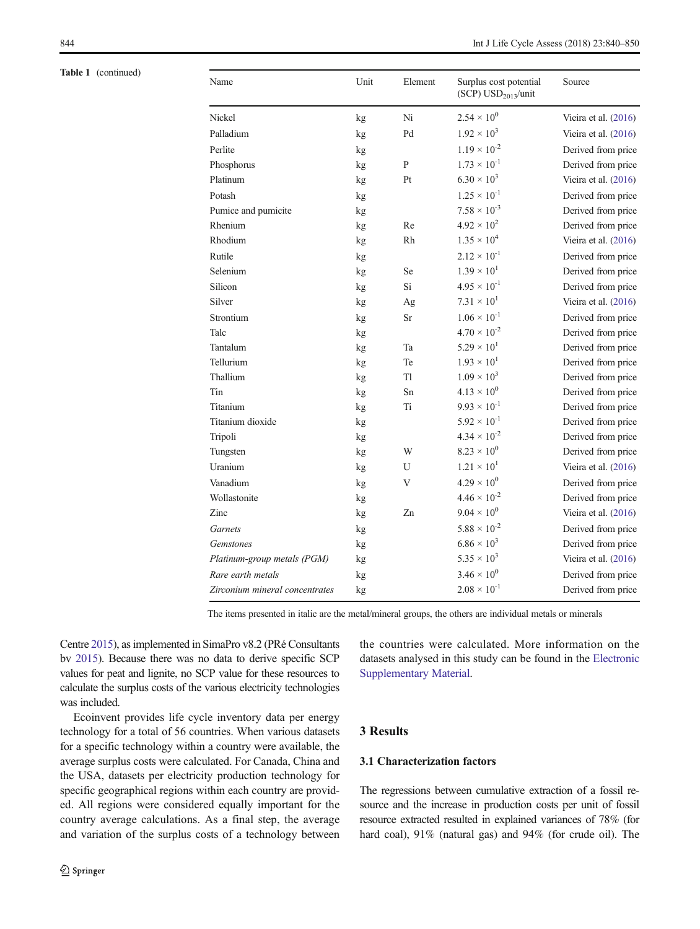Table 1 (continued)

| Name                           | Unit | Element   | Surplus cost potential                | Source                 |
|--------------------------------|------|-----------|---------------------------------------|------------------------|
|                                |      |           | (SCP) $\text{USD}_{2013}\text{/unit}$ |                        |
| Nickel                         | kg   | Ni        | $2.54 \times 10^{0}$                  | Vieira et al. $(2016)$ |
| Palladium                      | kg   | Pd        | $1.92 \times 10^{3}$                  | Vieira et al. (2016)   |
| Perlite                        | kg   |           | $1.19 \times 10^{-2}$                 | Derived from price     |
| Phosphorus                     | kg   | ${\bf P}$ | $1.73 \times 10^{-1}$                 | Derived from price     |
| Platinum                       | kg   | Pt        | $6.30 \times 10^{3}$                  | Vieira et al. (2016)   |
| Potash                         | kg   |           | $1.25 \times 10^{-1}$                 | Derived from price     |
| Pumice and pumicite            | kg   |           | $7.58 \times 10^{-3}$                 | Derived from price     |
| Rhenium                        | kg   | Re        | $4.92 \times 10^{2}$                  | Derived from price     |
| Rhodium                        | kg   | Rh        | $1.35 \times 10^{4}$                  | Vieira et al. (2016)   |
| Rutile                         | kg   |           | $2.12 \times 10^{-1}$                 | Derived from price     |
| Selenium                       | kg   | Se        | $1.39 \times 10^{1}$                  | Derived from price     |
| Silicon                        | kg   | Si        | $4.95 \times 10^{-1}$                 | Derived from price     |
| Silver                         | kg   | Ag        | $7.31 \times 10^{1}$                  | Vieira et al. (2016)   |
| Strontium                      | kg   | Sr        | $1.06 \times 10^{-1}$                 | Derived from price     |
| Talc                           | kg   |           | $4.70 \times 10^{-2}$                 | Derived from price     |
| Tantalum                       | kg   | Ta        | $5.29 \times 10^{1}$                  | Derived from price     |
| Tellurium                      | kg   | Te        | $1.93 \times 10^{1}$                  | Derived from price     |
| Thallium                       | kg   | T1        | $1.09 \times 10^{3}$                  | Derived from price     |
| Tin                            | kg   | Sn        | $4.13 \times 10^{0}$                  | Derived from price     |
| Titanium                       | kg   | Ti        | $9.93 \times 10^{-1}$                 | Derived from price     |
| Titanium dioxide               | kg   |           | $5.92 \times 10^{-1}$                 | Derived from price     |
| Tripoli                        | kg   |           | $4.34 \times 10^{-2}$                 | Derived from price     |
| Tungsten                       | kg   | W         | $8.23 \times 10^{0}$                  | Derived from price     |
| Uranium                        | kg   | U         | $1.21 \times 10^{1}$                  | Vieira et al. (2016)   |
| Vanadium                       | kg   | V         | $4.29 \times 10^{0}$                  | Derived from price     |
| Wollastonite                   | kg   |           | $4.46 \times 10^{-2}$                 | Derived from price     |
| Zinc                           | kg   | Zn        | $9.04 \times 10^{0}$                  | Vieira et al. (2016)   |
| <b>Garnets</b>                 | kg   |           | $5.88 \times 10^{-2}$                 | Derived from price     |
| Gemstones                      | kg   |           | $6.86 \times 10^{3}$                  | Derived from price     |
| Platinum-group metals (PGM)    | kg   |           | $5.35 \times 10^{3}$                  | Vieira et al. (2016)   |
| Rare earth metals              | kg   |           | $3.46 \times 10^{0}$                  | Derived from price     |
| Zirconium mineral concentrates | kg   |           | $2.08 \times 10^{-1}$                 | Derived from price     |

The items presented in italic are the metal/mineral groups, the others are individual metals or minerals

Centre [2015](#page-9-0)), as implemented in SimaPro v8.2 (PRé Consultants bv [2015](#page-10-0)). Because there was no data to derive specific SCP values for peat and lignite, no SCP value for these resources to calculate the surplus costs of the various electricity technologies was included.

Ecoinvent provides life cycle inventory data per energy technology for a total of 56 countries. When various datasets for a specific technology within a country were available, the average surplus costs were calculated. For Canada, China and the USA, datasets per electricity production technology for specific geographical regions within each country are provided. All regions were considered equally important for the country average calculations. As a final step, the average and variation of the surplus costs of a technology between the countries were calculated. More information on the datasets analysed in this study can be found in the Electronic Supplementary Material.

# 3 Results

## 3.1 Characterization factors

The regressions between cumulative extraction of a fossil resource and the increase in production costs per unit of fossil resource extracted resulted in explained variances of 78% (for hard coal), 91% (natural gas) and 94% (for crude oil). The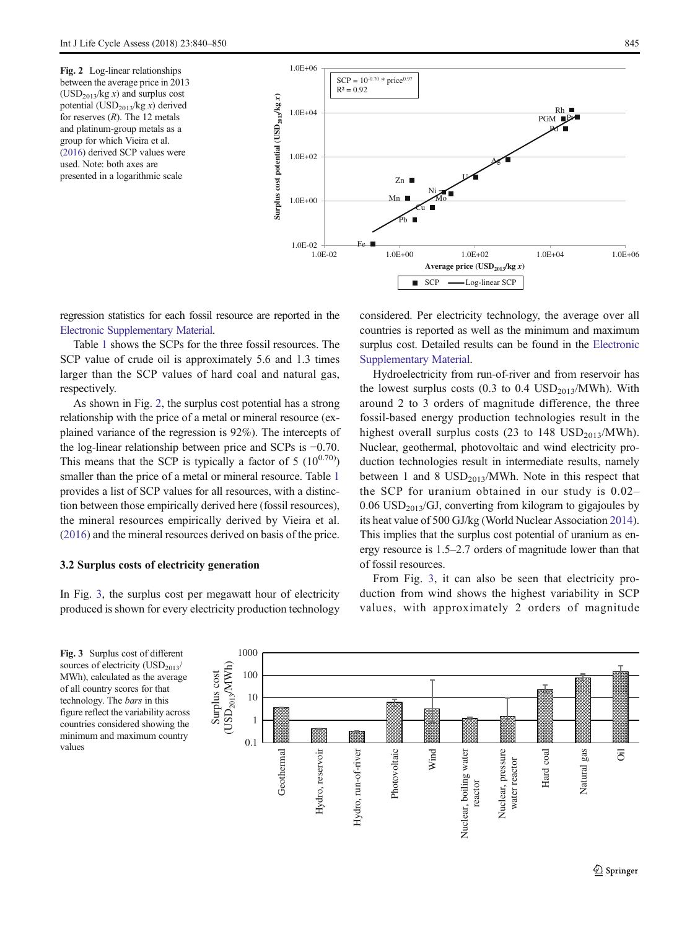Fig. 2 Log-linear relationships between the average price in 2013  $(USD<sub>2013</sub>/kg x)$  and surplus cost potential (USD $_{2013}$ /kg x) derived for reserves  $(R)$ . The 12 metals and platinum-group metals as a group for which Vieira et al. ([2016](#page-10-0)) derived SCP values were used. Note: both axes are presented in a logarithmic scale



regression statistics for each fossil resource are reported in the Electronic Supplementary Material.

Table [1](#page-3-0) shows the SCPs for the three fossil resources. The SCP value of crude oil is approximately 5.6 and 1.3 times larger than the SCP values of hard coal and natural gas, respectively.

As shown in Fig. 2, the surplus cost potential has a strong relationship with the price of a metal or mineral resource (explained variance of the regression is 92%). The intercepts of the log-linear relationship between price and SCPs is −0.70. This means that the SCP is typically a factor of 5  $(10^{0.70})$ smaller than the price of a metal or mineral resource. Table [1](#page-3-0) provides a list of SCP values for all resources, with a distinction between those empirically derived here (fossil resources), the mineral resources empirically derived by Vieira et al. [\(2016\)](#page-10-0) and the mineral resources derived on basis of the price.

## 3.2 Surplus costs of electricity generation

In Fig. 3, the surplus cost per megawatt hour of electricity produced is shown for every electricity production technology considered. Per electricity technology, the average over all countries is reported as well as the minimum and maximum surplus cost. Detailed results can be found in the Electronic Supplementary Material.

Hydroelectricity from run-of-river and from reservoir has the lowest surplus costs  $(0.3 \text{ to } 0.4 \text{ USD}_{2013}/\text{MWh})$ . With around 2 to 3 orders of magnitude difference, the three fossil-based energy production technologies result in the highest overall surplus costs (23 to 148  $\text{USD}_{2013}/\text{MWh}$ ). Nuclear, geothermal, photovoltaic and wind electricity production technologies result in intermediate results, namely between 1 and 8  $\text{USD}_{2013}/\text{MWh}$ . Note in this respect that the SCP for uranium obtained in our study is 0.02–  $0.06$  USD<sub>2013</sub>/GJ, converting from kilogram to gigajoules by its heat value of 500 GJ/kg (World Nuclear Association [2014\)](#page-10-0). This implies that the surplus cost potential of uranium as energy resource is 1.5–2.7 orders of magnitude lower than that of fossil resources.

From Fig. 3, it can also be seen that electricity production from wind shows the highest variability in SCP values, with approximately 2 orders of magnitude

Fig. 3 Surplus cost of different sources of electricity  $(USD_{2013}/$ MWh), calculated as the average of all country scores for that technology. The bars in this figure reflect the variability across countries considered showing the minimum and maximum country values

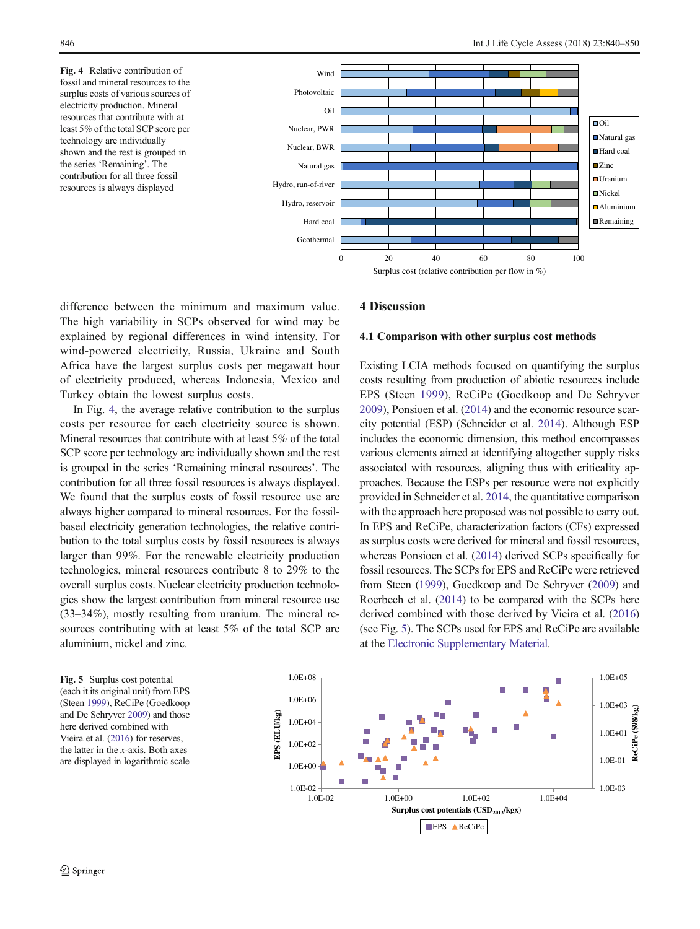Fig. 4 Relative contribution of fossil and mineral resources to the surplus costs of various sources of electricity production. Mineral resources that contribute with at least 5% of the total SCP score per technology are individually shown and the rest is grouped in the series 'Remaining'. The contribution for all three fossil resources is always displayed



difference between the minimum and maximum value. The high variability in SCPs observed for wind may be explained by regional differences in wind intensity. For wind-powered electricity, Russia, Ukraine and South Africa have the largest surplus costs per megawatt hour of electricity produced, whereas Indonesia, Mexico and Turkey obtain the lowest surplus costs.

In Fig. 4, the average relative contribution to the surplus costs per resource for each electricity source is shown. Mineral resources that contribute with at least 5% of the total SCP score per technology are individually shown and the rest is grouped in the series 'Remaining mineral resources'. The contribution for all three fossil resources is always displayed. We found that the surplus costs of fossil resource use are always higher compared to mineral resources. For the fossilbased electricity generation technologies, the relative contribution to the total surplus costs by fossil resources is always larger than 99%. For the renewable electricity production technologies, mineral resources contribute 8 to 29% to the overall surplus costs. Nuclear electricity production technologies show the largest contribution from mineral resource use (33–34%), mostly resulting from uranium. The mineral resources contributing with at least 5% of the total SCP are aluminium, nickel and zinc.

4 Discussion

#### 4.1 Comparison with other surplus cost methods

Existing LCIA methods focused on quantifying the surplus costs resulting from production of abiotic resources include EPS (Steen [1999](#page-10-0)), ReCiPe (Goedkoop and De Schryver [2009\)](#page-9-0), Ponsioen et al. [\(2014\)](#page-10-0) and the economic resource scarcity potential (ESP) (Schneider et al. [2014\)](#page-10-0). Although ESP includes the economic dimension, this method encompasses various elements aimed at identifying altogether supply risks associated with resources, aligning thus with criticality approaches. Because the ESPs per resource were not explicitly provided in Schneider et al. [2014](#page-10-0), the quantitative comparison with the approach here proposed was not possible to carry out. In EPS and ReCiPe, characterization factors (CFs) expressed as surplus costs were derived for mineral and fossil resources, whereas Ponsioen et al. [\(2014\)](#page-10-0) derived SCPs specifically for fossil resources. The SCPs for EPS and ReCiPe were retrieved from Steen ([1999](#page-10-0)), Goedkoop and De Schryver ([2009](#page-9-0)) and Roerbech et al. ([2014](#page-10-0)) to be compared with the SCPs here derived combined with those derived by Vieira et al. [\(2016](#page-10-0)) (see Fig. 5). The SCPs used for EPS and ReCiPe are available at the Electronic Supplementary Material.



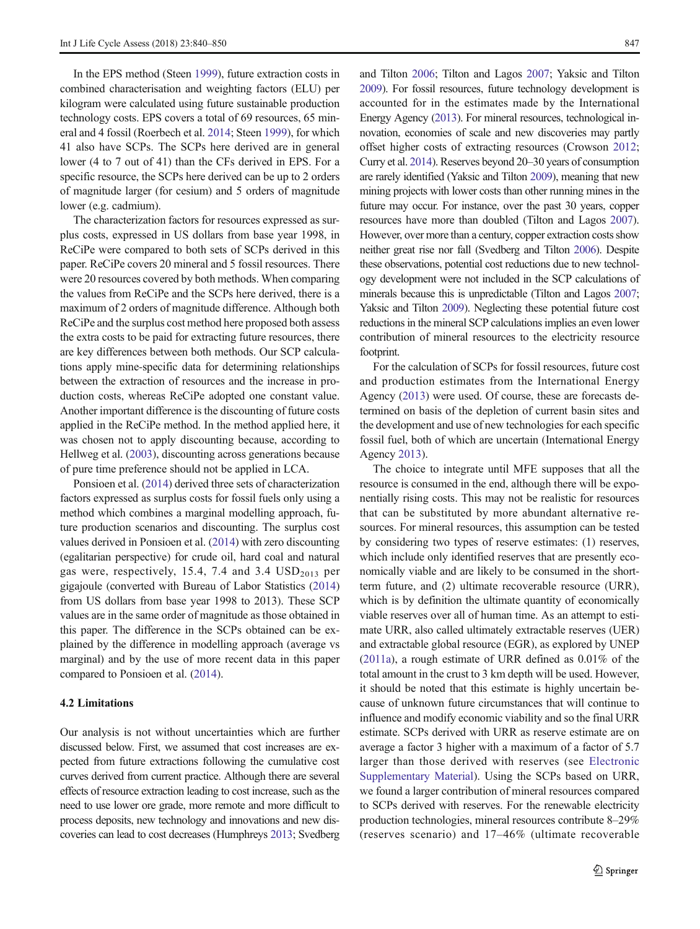In the EPS method (Steen [1999](#page-10-0)), future extraction costs in combined characterisation and weighting factors (ELU) per kilogram were calculated using future sustainable production technology costs. EPS covers a total of 69 resources, 65 mineral and 4 fossil (Roerbech et al. [2014](#page-10-0); Steen [1999](#page-10-0)), for which 41 also have SCPs. The SCPs here derived are in general lower (4 to 7 out of 41) than the CFs derived in EPS. For a specific resource, the SCPs here derived can be up to 2 orders of magnitude larger (for cesium) and 5 orders of magnitude lower (e.g. cadmium).

The characterization factors for resources expressed as surplus costs, expressed in US dollars from base year 1998, in ReCiPe were compared to both sets of SCPs derived in this paper. ReCiPe covers 20 mineral and 5 fossil resources. There were 20 resources covered by both methods. When comparing the values from ReCiPe and the SCPs here derived, there is a maximum of 2 orders of magnitude difference. Although both ReCiPe and the surplus cost method here proposed both assess the extra costs to be paid for extracting future resources, there are key differences between both methods. Our SCP calculations apply mine-specific data for determining relationships between the extraction of resources and the increase in production costs, whereas ReCiPe adopted one constant value. Another important difference is the discounting of future costs applied in the ReCiPe method. In the method applied here, it was chosen not to apply discounting because, according to Hellweg et al. [\(2003\)](#page-9-0), discounting across generations because of pure time preference should not be applied in LCA.

Ponsioen et al. ([2014](#page-10-0)) derived three sets of characterization factors expressed as surplus costs for fossil fuels only using a method which combines a marginal modelling approach, future production scenarios and discounting. The surplus cost values derived in Ponsioen et al. ([2014](#page-10-0)) with zero discounting (egalitarian perspective) for crude oil, hard coal and natural gas were, respectively, 15.4, 7.4 and 3.4  $\text{USD}_{2013}$  per gigajoule (converted with Bureau of Labor Statistics [\(2014\)](#page-9-0) from US dollars from base year 1998 to 2013). These SCP values are in the same order of magnitude as those obtained in this paper. The difference in the SCPs obtained can be explained by the difference in modelling approach (average vs marginal) and by the use of more recent data in this paper compared to Ponsioen et al. [\(2014\)](#page-10-0).

## 4.2 Limitations

Our analysis is not without uncertainties which are further discussed below. First, we assumed that cost increases are expected from future extractions following the cumulative cost curves derived from current practice. Although there are several effects of resource extraction leading to cost increase, such as the need to use lower ore grade, more remote and more difficult to process deposits, new technology and innovations and new discoveries can lead to cost decreases (Humphreys [2013;](#page-9-0) Svedberg and Tilton [2006](#page-10-0); Tilton and Lagos [2007;](#page-10-0) Yaksic and Tilton [2009](#page-10-0)). For fossil resources, future technology development is accounted for in the estimates made by the International Energy Agency [\(2013\)](#page-9-0). For mineral resources, technological innovation, economies of scale and new discoveries may partly offset higher costs of extracting resources (Crowson [2012;](#page-9-0) Curry et al. [2014\)](#page-9-0). Reserves beyond 20–30 years of consumption are rarely identified (Yaksic and Tilton [2009](#page-10-0)), meaning that new mining projects with lower costs than other running mines in the future may occur. For instance, over the past 30 years, copper resources have more than doubled (Tilton and Lagos [2007\)](#page-10-0). However, over more than a century, copper extraction costs show neither great rise nor fall (Svedberg and Tilton [2006](#page-10-0)). Despite these observations, potential cost reductions due to new technology development were not included in the SCP calculations of minerals because this is unpredictable (Tilton and Lagos [2007;](#page-10-0) Yaksic and Tilton [2009\)](#page-10-0). Neglecting these potential future cost reductions in the mineral SCP calculations implies an even lower contribution of mineral resources to the electricity resource footprint.

For the calculation of SCPs for fossil resources, future cost and production estimates from the International Energy Agency ([2013](#page-9-0)) were used. Of course, these are forecasts determined on basis of the depletion of current basin sites and the development and use of new technologies for each specific fossil fuel, both of which are uncertain (International Energy Agency [2013\)](#page-9-0).

The choice to integrate until MFE supposes that all the resource is consumed in the end, although there will be exponentially rising costs. This may not be realistic for resources that can be substituted by more abundant alternative resources. For mineral resources, this assumption can be tested by considering two types of reserve estimates: (1) reserves, which include only identified reserves that are presently economically viable and are likely to be consumed in the shortterm future, and (2) ultimate recoverable resource (URR), which is by definition the ultimate quantity of economically viable reserves over all of human time. As an attempt to estimate URR, also called ultimately extractable reserves (UER) and extractable global resource (EGR), as explored by UNEP [\(2011a\)](#page-10-0), a rough estimate of URR defined as 0.01% of the total amount in the crust to 3 km depth will be used. However, it should be noted that this estimate is highly uncertain because of unknown future circumstances that will continue to influence and modify economic viability and so the final URR estimate. SCPs derived with URR as reserve estimate are on average a factor 3 higher with a maximum of a factor of 5.7 larger than those derived with reserves (see Electronic Supplementary Material). Using the SCPs based on URR, we found a larger contribution of mineral resources compared to SCPs derived with reserves. For the renewable electricity production technologies, mineral resources contribute 8–29% (reserves scenario) and 17–46% (ultimate recoverable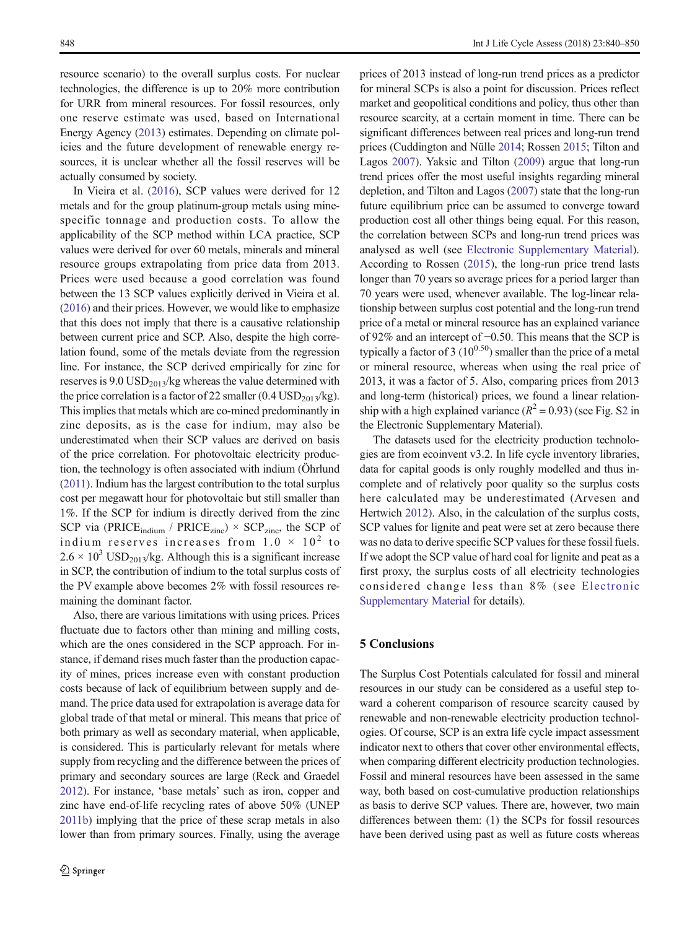resource scenario) to the overall surplus costs. For nuclear technologies, the difference is up to 20% more contribution for URR from mineral resources. For fossil resources, only one reserve estimate was used, based on International Energy Agency [\(2013\)](#page-9-0) estimates. Depending on climate policies and the future development of renewable energy resources, it is unclear whether all the fossil reserves will be actually consumed by society.

In Vieira et al. ([2016\)](#page-10-0), SCP values were derived for 12 metals and for the group platinum-group metals using minespecific tonnage and production costs. To allow the applicability of the SCP method within LCA practice, SCP values were derived for over 60 metals, minerals and mineral resource groups extrapolating from price data from 2013. Prices were used because a good correlation was found between the 13 SCP values explicitly derived in Vieira et al. [\(2016\)](#page-10-0) and their prices. However, we would like to emphasize that this does not imply that there is a causative relationship between current price and SCP. Also, despite the high correlation found, some of the metals deviate from the regression line. For instance, the SCP derived empirically for zinc for reserves is  $9.0 \text{ USD}_{2013}/\text{kg}$  whereas the value determined with the price correlation is a factor of 22 smaller  $(0.4 \text{ USD}_{2013}/\text{kg})$ . This implies that metals which are co-mined predominantly in zinc deposits, as is the case for indium, may also be underestimated when their SCP values are derived on basis of the price correlation. For photovoltaic electricity production, the technology is often associated with indium (Öhrlund [\(2011](#page-10-0)). Indium has the largest contribution to the total surplus cost per megawatt hour for photovoltaic but still smaller than 1%. If the SCP for indium is directly derived from the zinc SCP via (PRICE<sub>indium</sub> / PRICE<sub>zinc</sub>)  $\times$  SCP<sub>zinc</sub>, the SCP of indium reserves increases from  $1.0 \times 10^2$  to  $2.6 \times 10^3$  USD<sub>2013</sub>/kg. Although this is a significant increase in SCP, the contribution of indium to the total surplus costs of the PV example above becomes 2% with fossil resources remaining the dominant factor.

Also, there are various limitations with using prices. Prices fluctuate due to factors other than mining and milling costs, which are the ones considered in the SCP approach. For instance, if demand rises much faster than the production capacity of mines, prices increase even with constant production costs because of lack of equilibrium between supply and demand. The price data used for extrapolation is average data for global trade of that metal or mineral. This means that price of both primary as well as secondary material, when applicable, is considered. This is particularly relevant for metals where supply from recycling and the difference between the prices of primary and secondary sources are large (Reck and Graedel [2012\)](#page-10-0). For instance, 'base metals' such as iron, copper and zinc have end-of-life recycling rates of above 50% (UNEP [2011b](#page-10-0)) implying that the price of these scrap metals in also lower than from primary sources. Finally, using the average

prices of 2013 instead of long-run trend prices as a predictor for mineral SCPs is also a point for discussion. Prices reflect market and geopolitical conditions and policy, thus other than resource scarcity, at a certain moment in time. There can be significant differences between real prices and long-run trend prices (Cuddington and Nülle [2014;](#page-9-0) Rossen [2015](#page-10-0); Tilton and Lagos [2007](#page-10-0)). Yaksic and Tilton ([2009](#page-10-0)) argue that long-run trend prices offer the most useful insights regarding mineral depletion, and Tilton and Lagos ([2007](#page-10-0)) state that the long-run future equilibrium price can be assumed to converge toward production cost all other things being equal. For this reason, the correlation between SCPs and long-run trend prices was analysed as well (see Electronic Supplementary Material). According to Rossen ([2015\)](#page-10-0), the long-run price trend lasts longer than 70 years so average prices for a period larger than 70 years were used, whenever available. The log-linear relationship between surplus cost potential and the long-run trend price of a metal or mineral resource has an explained variance of 92% and an intercept of −0.50. This means that the SCP is typically a factor of 3  $(10^{0.50})$  smaller than the price of a metal or mineral resource, whereas when using the real price of 2013, it was a factor of 5. Also, comparing prices from 2013 and long-term (historical) prices, we found a linear relationship with a high explained variance  $(R^2 = 0.93)$  (see Fig. S2 in the Electronic Supplementary Material).

The datasets used for the electricity production technologies are from ecoinvent v3.2. In life cycle inventory libraries, data for capital goods is only roughly modelled and thus incomplete and of relatively poor quality so the surplus costs here calculated may be underestimated (Arvesen and Hertwich [2012](#page-9-0)). Also, in the calculation of the surplus costs, SCP values for lignite and peat were set at zero because there was no data to derive specific SCP values for these fossil fuels. If we adopt the SCP value of hard coal for lignite and peat as a first proxy, the surplus costs of all electricity technologies considered change less than 8% (see Electronic Supplementary Material for details).

## 5 Conclusions

The Surplus Cost Potentials calculated for fossil and mineral resources in our study can be considered as a useful step toward a coherent comparison of resource scarcity caused by renewable and non-renewable electricity production technologies. Of course, SCP is an extra life cycle impact assessment indicator next to others that cover other environmental effects, when comparing different electricity production technologies. Fossil and mineral resources have been assessed in the same way, both based on cost-cumulative production relationships as basis to derive SCP values. There are, however, two main differences between them: (1) the SCPs for fossil resources have been derived using past as well as future costs whereas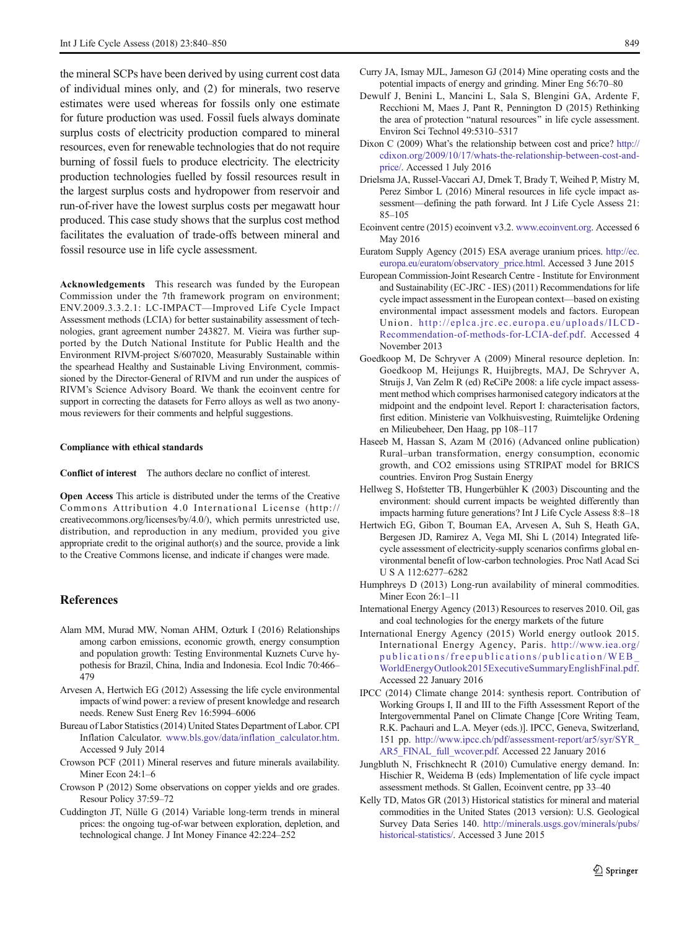<span id="page-9-0"></span>the mineral SCPs have been derived by using current cost data of individual mines only, and (2) for minerals, two reserve estimates were used whereas for fossils only one estimate for future production was used. Fossil fuels always dominate surplus costs of electricity production compared to mineral resources, even for renewable technologies that do not require burning of fossil fuels to produce electricity. The electricity production technologies fuelled by fossil resources result in the largest surplus costs and hydropower from reservoir and run-of-river have the lowest surplus costs per megawatt hour produced. This case study shows that the surplus cost method facilitates the evaluation of trade-offs between mineral and fossil resource use in life cycle assessment.

Acknowledgements This research was funded by the European Commission under the 7th framework program on environment; ENV.2009.3.3.2.1: LC-IMPACT—Improved Life Cycle Impact Assessment methods (LCIA) for better sustainability assessment of technologies, grant agreement number 243827. M. Vieira was further supported by the Dutch National Institute for Public Health and the Environment RIVM-project S/607020, Measurably Sustainable within the spearhead Healthy and Sustainable Living Environment, commissioned by the Director-General of RIVM and run under the auspices of RIVM's Science Advisory Board. We thank the ecoinvent centre for support in correcting the datasets for Ferro alloys as well as two anonymous reviewers for their comments and helpful suggestions.

#### Compliance with ethical standards

Conflict of interest The authors declare no conflict of interest.

Open Access This article is distributed under the terms of the Creative Commons Attribution 4.0 International License (http:// creativecommons.org/licenses/by/4.0/), which permits unrestricted use, distribution, and reproduction in any medium, provided you give appropriate credit to the original author(s) and the source, provide a link to the Creative Commons license, and indicate if changes were made.

## References

- Alam MM, Murad MW, Noman AHM, Ozturk I (2016) Relationships among carbon emissions, economic growth, energy consumption and population growth: Testing Environmental Kuznets Curve hypothesis for Brazil, China, India and Indonesia. Ecol Indic 70:466– 479
- Arvesen A, Hertwich EG (2012) Assessing the life cycle environmental impacts of wind power: a review of present knowledge and research needs. Renew Sust Energ Rev 16:5994–6006
- Bureau of Labor Statistics (2014) United States Department of Labor. CPI Inflation Calculator. [www.bls.gov/data/inflation\\_calculator.htm](http://www.bls.gov/data/inflation_calculator.htm). Accessed 9 July 2014
- Crowson PCF (2011) Mineral reserves and future minerals availability. Miner Econ 24:1–6
- Crowson P (2012) Some observations on copper yields and ore grades. Resour Policy 37:59–72
- Cuddington JT, Nülle G (2014) Variable long-term trends in mineral prices: the ongoing tug-of-war between exploration, depletion, and technological change. J Int Money Finance 42:224–252
- Curry JA, Ismay MJL, Jameson GJ (2014) Mine operating costs and the potential impacts of energy and grinding. Miner Eng 56:70–80
- Dewulf J, Benini L, Mancini L, Sala S, Blengini GA, Ardente F, Recchioni M, Maes J, Pant R, Pennington D (2015) Rethinking the area of protection "natural resources" in life cycle assessment. Environ Sci Technol 49:5310–5317
- Dixon C (2009) What's the relationship between cost and price? [http://](http://cdixon.org/2009/10/17/whats-the-relationship-between-cost-and-price/) [cdixon.org/2009/10/17/whats-the-relationship-between-cost-and](http://cdixon.org/2009/10/17/whats-the-relationship-between-cost-and-price/)[price/](http://cdixon.org/2009/10/17/whats-the-relationship-between-cost-and-price/). Accessed 1 July 2016
- Drielsma JA, Russel-Vaccari AJ, Drnek T, Brady T, Weihed P, Mistry M, Perez Simbor L (2016) Mineral resources in life cycle impact assessment—defining the path forward. Int J Life Cycle Assess 21: 85–105
- Ecoinvent centre (2015) ecoinvent v3.2. [www.ecoinvent.org](http://www.ecoinvent.org). Accessed 6 May 2016
- Euratom Supply Agency (2015) ESA average uranium prices. [http://ec.](http://ec.europa.eu/euratom/observatory_price.html) [europa.eu/euratom/observatory\\_price.html](http://ec.europa.eu/euratom/observatory_price.html). Accessed 3 June 2015
- European Commission-Joint Research Centre Institute for Environment and Sustainability (EC-JRC - IES) (2011) Recommendations for life cycle impact assessment in the European context—based on existing environmental impact assessment models and factors. European Union. [http://eplca.jrc.ec.europa.eu/uploads/ILCD-](http://eplca.jrc.ec.europa.eu/uploads/ILCD-Recommendation-of-methods-for-LCIA-def.pdf)[Recommendation-of-methods-for-LCIA-def.pdf.](http://eplca.jrc.ec.europa.eu/uploads/ILCD-Recommendation-of-methods-for-LCIA-def.pdf) Accessed 4 November 2013
- Goedkoop M, De Schryver A (2009) Mineral resource depletion. In: Goedkoop M, Heijungs R, Huijbregts, MAJ, De Schryver A, Struijs J, Van Zelm R (ed) ReCiPe 2008: a life cycle impact assessment method which comprises harmonised category indicators at the midpoint and the endpoint level. Report I: characterisation factors, first edition. Ministerie van Volkhuisvesting, Ruimtelijke Ordening en Milieubeheer, Den Haag, pp 108–117
- Haseeb M, Hassan S, Azam M (2016) (Advanced online publication) Rural–urban transformation, energy consumption, economic growth, and CO2 emissions using STRIPAT model for BRICS countries. Environ Prog Sustain Energy
- Hellweg S, Hofstetter TB, Hungerbühler K (2003) Discounting and the environment: should current impacts be weighted differently than impacts harming future generations? Int J Life Cycle Assess 8:8–18
- Hertwich EG, Gibon T, Bouman EA, Arvesen A, Suh S, Heath GA, Bergesen JD, Ramirez A, Vega MI, Shi L (2014) Integrated lifecycle assessment of electricity-supply scenarios confirms global environmental benefit of low-carbon technologies. Proc Natl Acad Sci U S A 112:6277–6282
- Humphreys D (2013) Long-run availability of mineral commodities. Miner Econ 26:1–11
- International Energy Agency (2013) Resources to reserves 2010. Oil, gas and coal technologies for the energy markets of the future
- International Energy Agency (2015) World energy outlook 2015. International Energy Agency, Paris. [http://www.iea.org/](http://www.iea.org/publications/freepublications/publication/WEB_WorldEnergyOutlook2015ExecutiveSummaryEnglishFinal.pdf) publications/freepublications/publication/WEB [WorldEnergyOutlook2015ExecutiveSummaryEnglishFinal.pdf](http://www.iea.org/publications/freepublications/publication/WEB_WorldEnergyOutlook2015ExecutiveSummaryEnglishFinal.pdf). Accessed 22 January 2016
- IPCC (2014) Climate change 2014: synthesis report. Contribution of Working Groups I, II and III to the Fifth Assessment Report of the Intergovernmental Panel on Climate Change [Core Writing Team, R.K. Pachauri and L.A. Meyer (eds.)]. IPCC, Geneva, Switzerland, 151 pp. [http://www.ipcc.ch/pdf/assessment-report/ar5/syr/SYR\\_](http://www.ipcc.ch/pdf/assessment-report/ar5/syr/SYR_AR5_FINAL_full_wcover.pdf) [AR5\\_FINAL\\_full\\_wcover.pdf](http://www.ipcc.ch/pdf/assessment-report/ar5/syr/SYR_AR5_FINAL_full_wcover.pdf). Accessed 22 January 2016
- Jungbluth N, Frischknecht R (2010) Cumulative energy demand. In: Hischier R, Weidema B (eds) Implementation of life cycle impact assessment methods. St Gallen, Ecoinvent centre, pp 33–40
- Kelly TD, Matos GR (2013) Historical statistics for mineral and material commodities in the United States (2013 version): U.S. Geological Survey Data Series 140. [http://minerals.usgs.gov/minerals/pubs/](http://minerals.usgs.gov/minerals/pubs/historical-statistics/) [historical-statistics/.](http://minerals.usgs.gov/minerals/pubs/historical-statistics/) Accessed 3 June 2015